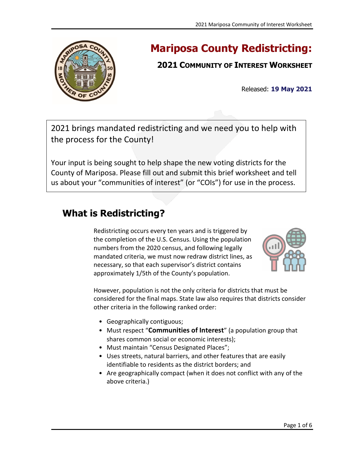

# **Mariposa County Redistricting:**

## **2021 COMMUNITY OF INTEREST WORKSHEET**

Released: **19 May 2021**

2021 brings mandated redistricting and we need you to help with the process for the County!

Your input is being sought to help shape the new voting districts for the County of Mariposa. Please fill out and submit this brief worksheet and tell us about your "communities of interest" (or "COIs") for use in the process.

# **What is Redistricting?**

Redistricting occurs every ten years and is triggered by the completion of the U.S. Census. Using the population numbers from the 2020 census, and following legally mandated criteria, we must now redraw district lines, as necessary, so that each supervisor's district contains approximately 1/5th of the County's population.



However, population is not the only criteria for districts that must be considered for the final maps. State law also requires that districts consider other criteria in the following ranked order:

- Geographically contiguous;
- Must respect "**Communities of Interest**" (a population group that shares common social or economic interests);
- Must maintain "Census Designated Places";
- Uses streets, natural barriers, and other features that are easily identifiable to residents as the district borders; and
- Are geographically compact (when it does not conflict with any of the above criteria.)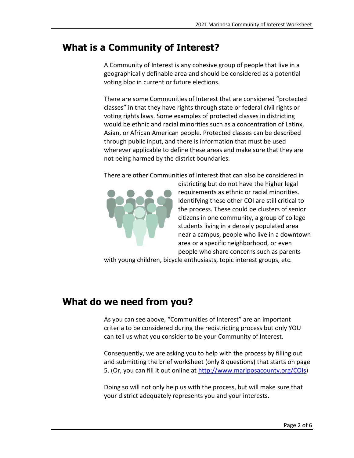## **What is a Community of Interest?**

A Community of Interest is any cohesive group of people that live in a geographically definable area and should be considered as a potential voting bloc in current or future elections.

There are some Communities of Interest that are considered "protected classes" in that they have rights through state or federal civil rights or voting rights laws. Some examples of protected classes in districting would be ethnic and racial minorities such as a concentration of Latinx, Asian, or African American people. Protected classes can be described through public input, and there is information that must be used wherever applicable to define these areas and make sure that they are not being harmed by the district boundaries.

There are other Communities of Interest that can also be considered in



districting but do not have the higher legal requirements as ethnic or racial minorities. Identifying these other COI are still critical to the process. These could be clusters of senior citizens in one community, a group of college students living in a densely populated area near a campus, people who live in a downtown area or a specific neighborhood, or even people who share concerns such as parents

with young children, bicycle enthusiasts, topic interest groups, etc.

# **What do we need from you?**

As you can see above, "Communities of Interest" are an important criteria to be considered during the redistricting process but only YOU can tell us what you consider to be your Community of Interest.

Consequently, we are asking you to help with the process by filling out and submitting the brief worksheet (only 8 questions) that starts on page 5. (Or, you can fill it out online at [http://www.mariposacounty.org/COIs\)](http://www.mariposacounty.org/COIs)

Doing so will not only help us with the process, but will make sure that your district adequately represents you and your interests.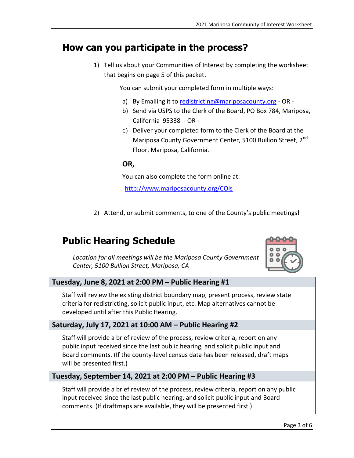### **How can you participate in the process?**

1) Tell us about your Communities of Interest by completing the worksheet that begins on page 5 of this packet.

You can submit your completed form in multiple ways:

- a) By Emailing it to [redistricting@mariposacounty.org](mailto:redistricting@mariposacounty.org) OR -
- b) Send via USPS to the Clerk of the Board, PO Box 784, Mariposa, California 95338 - OR -
- c) Deliver your completed form to the Clerk of the Board at the Mariposa County Government Center, 5100 Bullion Street, 2<sup>nd</sup> Floor, Mariposa, California.

#### **OR,**

You can also complete the form online at:

<http://www.mariposacounty.org/COIs>

2) Attend, or submit comments, to one of the County's public meetings!

# **Public Hearing Schedule**



*Location for all meetings will be the Mariposa County Government Center, 5100 Bullion Street, Mariposa, CA*

#### **Tuesday, June 8, 2021 at 2:00 PM – Public Hearing #1**

Staff will review the existing district boundary map, present process, review state criteria for redistricting, solicit public input, etc. Map alternatives cannot be developed until after this Public Hearing.

#### **Saturday, July 17, 2021 at 10:00 AM – Public Hearing #2**

Staff will provide a brief review of the process, review criteria, report on any public input received since the last public hearing, and solicit public input and Board comments. (If the county-level census data has been released, draft maps will be presented first.)

#### **Tuesday, September 14, 2021 at 2:00 PM – Public Hearing #3**

Staff will provide a brief review of the process, review criteria, report on any public input received since the last public hearing, and solicit public input and Board comments. (If draftmaps are available, they will be presented first.)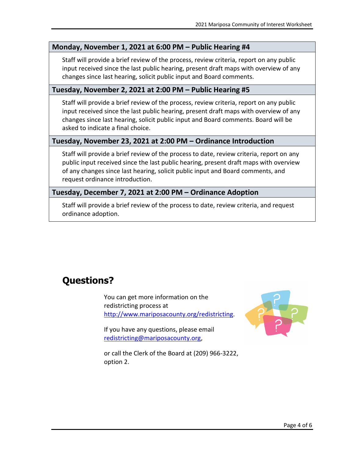#### **Monday, November 1, 2021 at 6:00 PM – Public Hearing #4**

Staff will provide a brief review of the process, review criteria, report on any public input received since the last public hearing, present draft maps with overview of any changes since last hearing, solicit public input and Board comments.

#### **Tuesday, November 2, 2021 at 2:00 PM – Public Hearing #5**

Staff will provide a brief review of the process, review criteria, report on any public input received since the last public hearing, present draft maps with overview of any changes since last hearing, solicit public input and Board comments. Board will be asked to indicate a final choice.

#### **Tuesday, November 23, 2021 at 2:00 PM – Ordinance Introduction**

Staff will provide a brief review of the process to date, review criteria, report on any public input received since the last public hearing, present draft maps with overview of any changes since last hearing, solicit public input and Board comments, and request ordinance introduction.

#### **Tuesday, December 7, 2021 at 2:00 PM – Ordinance Adoption**

Staff will provide a brief review of the process to date, review criteria, and request ordinance adoption.

# **Questions?**

You can get more information on the redistricting process at [http://www.mariposacounty.org/redistricting.](http://www.mariposacounty.org/redistricting)

If you have any questions, please email [redistricting@mariposacounty.org,](mailto:redistricting@mariposacounty.org)



or call the Clerk of the Board at (209) 966-3222, option 2.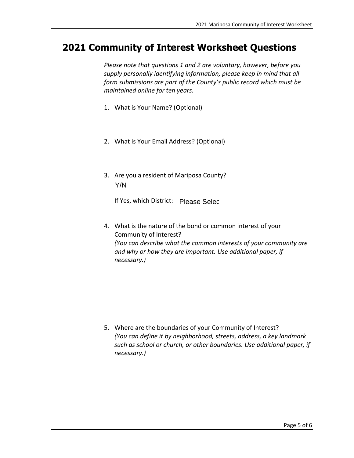### **2021 Community of Interest Worksheet Questions**

*Please note that questions 1 and 2 are voluntary, however, before you supply personally identifying information, please keep in mind that all form submissions are part of the County's public record which must be maintained online for ten years.* 

- 1. What is Your Name? (Optional)
- 2. What is Your Email Address? (Optional)
- 3. Are you a resident of Mariposa County? Y/N

If Yes, which District: Please Selec

4. What is the nature of the bond or common interest of your Community of Interest? *(You can describe what the common interests of your community are and why or how they are important. Use additional paper, if necessary.)*

5. Where are the boundaries of your Community of Interest? *(You can define it by neighborhood, streets, address, a key landmark such as school or church, or other boundaries. Use additional paper, if necessary.)*